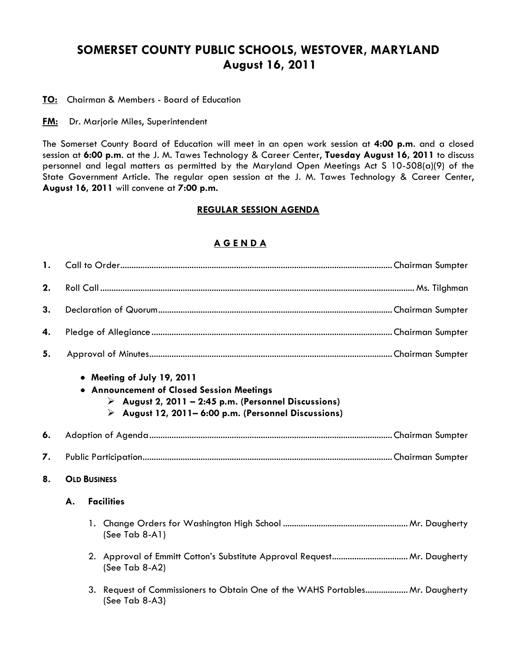## **SOMERSET COUNTY PUBLIC SCHOOLS, WESTOVER, MARYLAND August 16, 2011**

**TO:** Chairman & Members - Board of Education

**FM:** Dr. Marjorie Miles, Superintendent

The Somerset County Board of Education will meet in an open work session at **4:00 p.m**. and a closed session at **6:00 p.m**. at the J. M. Tawes Technology & Career Center, **Tuesday August 16, 2011** to discuss personnel and legal matters as permitted by the Maryland Open Meetings Act S 10-508(a)(9) of the State Government Article. The regular open session at the J. M. Tawes Technology & Career Center, **August 16, 2011** will convene at **7:00 p.m.**

## **REGULAR SESSION AGENDA**

## **A G E N D A**

| 1. |                         |                                                                                                                                                                                      |  |  |  |  |
|----|-------------------------|--------------------------------------------------------------------------------------------------------------------------------------------------------------------------------------|--|--|--|--|
| 2. |                         |                                                                                                                                                                                      |  |  |  |  |
| 3. |                         |                                                                                                                                                                                      |  |  |  |  |
| 4. |                         |                                                                                                                                                                                      |  |  |  |  |
| 5. |                         |                                                                                                                                                                                      |  |  |  |  |
|    |                         | • Meeting of July 19, 2011<br>• Announcement of Closed Session Meetings<br>August 2, 2011 - 2:45 p.m. (Personnel Discussions)<br>August 12, 2011 – 6:00 p.m. (Personnel Discussions) |  |  |  |  |
| 6. |                         |                                                                                                                                                                                      |  |  |  |  |
| 7. |                         |                                                                                                                                                                                      |  |  |  |  |
| 8. | <b>OLD BUSINESS</b>     |                                                                                                                                                                                      |  |  |  |  |
|    | <b>Facilities</b><br>А. |                                                                                                                                                                                      |  |  |  |  |
|    |                         | (See Tab 8-A1)                                                                                                                                                                       |  |  |  |  |
|    |                         | (See Tab 8-A2)                                                                                                                                                                       |  |  |  |  |
|    |                         | 3. Request of Commissioners to Obtain One of the WAHS Portables Mr. Daugherty<br>(See Tab 8-A3)                                                                                      |  |  |  |  |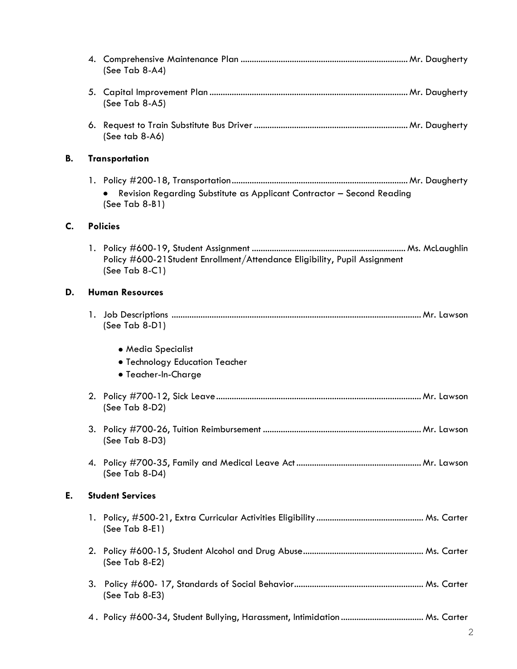|                |                         | (See Tab 8-A4)                                                                                  |  |
|----------------|-------------------------|-------------------------------------------------------------------------------------------------|--|
|                |                         | (See Tab 8-A5)                                                                                  |  |
|                |                         | $(See tab 8-A6)$                                                                                |  |
| В.             | <b>Transportation</b>   |                                                                                                 |  |
|                |                         | Revision Regarding Substitute as Applicant Contractor - Second Reading<br>$(See Tab 8-B1)$      |  |
| $\mathsf{C}$ . | <b>Policies</b>         |                                                                                                 |  |
|                |                         | Policy #600-21 Student Enrollment/Attendance Eligibility, Pupil Assignment<br>(See Tab $8-C1$ ) |  |
| D.             | <b>Human Resources</b>  |                                                                                                 |  |
|                |                         | (See Tab 8-D1)                                                                                  |  |
|                |                         | • Media Specialist                                                                              |  |
|                |                         | · Technology Education Teacher                                                                  |  |
|                |                         | • Teacher-In-Charge                                                                             |  |
|                |                         | (See Tab 8-D2)                                                                                  |  |
|                |                         | 3. Policy #700-26, Tuition Reimbursement<br>Mr. Lawson<br>(See Tab 8-D3)                        |  |
|                |                         | (See Tab 8-D4)                                                                                  |  |
| Е.             | <b>Student Services</b> |                                                                                                 |  |
|                |                         | (See Tab 8-E1)                                                                                  |  |
|                |                         | (See Tab $8-E2$ )                                                                               |  |
|                | 3.                      | (See Tab 8-E3)                                                                                  |  |
|                |                         |                                                                                                 |  |